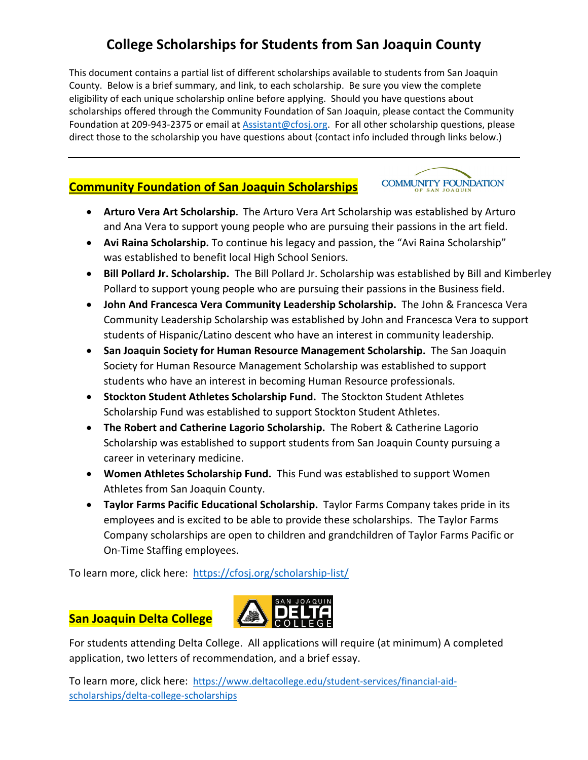# **College Scholarships for Students from San Joaquin County**

This document contains a partial list of different scholarships available to students from San Joaquin County. Below is a brief summary, and link, to each scholarship. Be sure you view the complete eligibility of each unique scholarship online before applying. Should you have questions about scholarships offered through the Community Foundation of San Joaquin, please contact the Community Foundation at 209‐943‐2375 or email at Assistant@cfosj.org. For all other scholarship questions, please direct those to the scholarship you have questions about (contact info included through links below.)

### **Community Foundation of San Joaquin Scholarships**

**COMMUNITY FOUNDATION** 

- **Arturo Vera Art Scholarship.** The Arturo Vera Art Scholarship was established by Arturo and Ana Vera to support young people who are pursuing their passions in the art field.
- **Avi Raina Scholarship.** To continue his legacy and passion, the "Avi Raina Scholarship" was established to benefit local High School Seniors.
- **Bill Pollard Jr. Scholarship.** The Bill Pollard Jr. Scholarship was established by Bill and Kimberley Pollard to support young people who are pursuing their passions in the Business field.
- **John And Francesca Vera Community Leadership Scholarship.** The John & Francesca Vera Community Leadership Scholarship was established by John and Francesca Vera to support students of Hispanic/Latino descent who have an interest in community leadership.
- **San Joaquin Society for Human Resource Management Scholarship.** The San Joaquin Society for Human Resource Management Scholarship was established to support students who have an interest in becoming Human Resource professionals.
- **Stockton Student Athletes Scholarship Fund.** The Stockton Student Athletes Scholarship Fund was established to support Stockton Student Athletes.
- **The Robert and Catherine Lagorio Scholarship.** The Robert & Catherine Lagorio Scholarship was established to support students from San Joaquin County pursuing a career in veterinary medicine.
- **Women Athletes Scholarship Fund.** This Fund was established to support Women Athletes from San Joaquin County.
- **Taylor Farms Pacific Educational Scholarship.** Taylor Farms Company takes pride in its employees and is excited to be able to provide these scholarships. The Taylor Farms Company scholarships are open to children and grandchildren of Taylor Farms Pacific or On‐Time Staffing employees.

To learn more, click here: https://cfosj.org/scholarship‐list/

### **San Joaquin Delta College**



For students attending Delta College. All applications will require (at minimum) A completed application, two letters of recommendation, and a brief essay.

To learn more, click here: https://www.deltacollege.edu/student‐services/financial‐aid‐ scholarships/delta‐college‐scholarships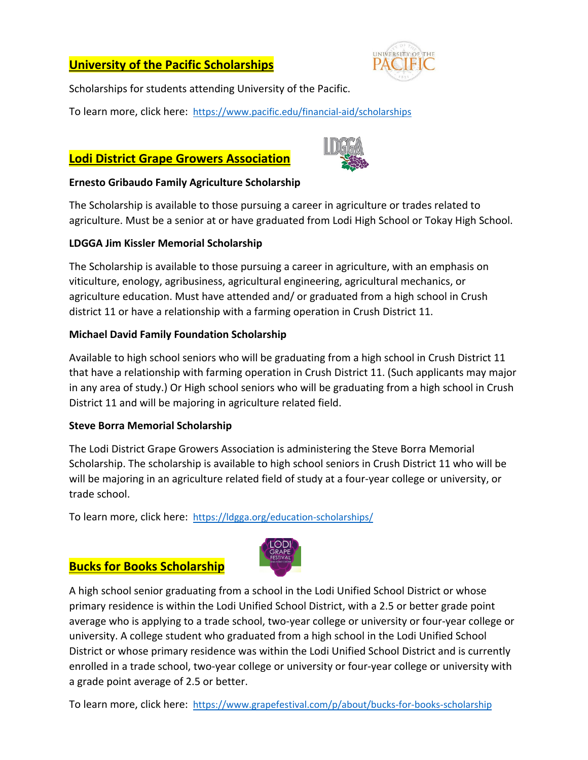# **University of the Pacific Scholarships**



Scholarships for students attending University of the Pacific.

To learn more, click here: https://www.pacific.edu/financial‐aid/scholarships

### **Lodi District Grape Growers Association**



#### **Ernesto Gribaudo Family Agriculture Scholarship**

The Scholarship is available to those pursuing a career in agriculture or trades related to agriculture. Must be a senior at or have graduated from Lodi High School or Tokay High School.

#### **LDGGA Jim Kissler Memorial Scholarship**

The Scholarship is available to those pursuing a career in agriculture, with an emphasis on viticulture, enology, agribusiness, agricultural engineering, agricultural mechanics, or agriculture education. Must have attended and/ or graduated from a high school in Crush district 11 or have a relationship with a farming operation in Crush District 11.

#### **Michael David Family Foundation Scholarship**

Available to high school seniors who will be graduating from a high school in Crush District 11 that have a relationship with farming operation in Crush District 11. (Such applicants may major in any area of study.) Or High school seniors who will be graduating from a high school in Crush District 11 and will be majoring in agriculture related field.

#### **Steve Borra Memorial Scholarship**

The Lodi District Grape Growers Association is administering the Steve Borra Memorial Scholarship. The scholarship is available to high school seniors in Crush District 11 who will be will be majoring in an agriculture related field of study at a four‐year college or university, or trade school.

To learn more, click here: https://ldgga.org/education-scholarships/

#### **Bucks for Books Scholarship**



A high school senior graduating from a school in the Lodi Unified School District or whose primary residence is within the Lodi Unified School District, with a 2.5 or better grade point average who is applying to a trade school, two-year college or university or four-year college or university. A college student who graduated from a high school in the Lodi Unified School District or whose primary residence was within the Lodi Unified School District and is currently enrolled in a trade school, two-year college or university or four-year college or university with a grade point average of 2.5 or better.

To learn more, click here: https://www.grapefestival.com/p/about/bucks‐for‐books‐scholarship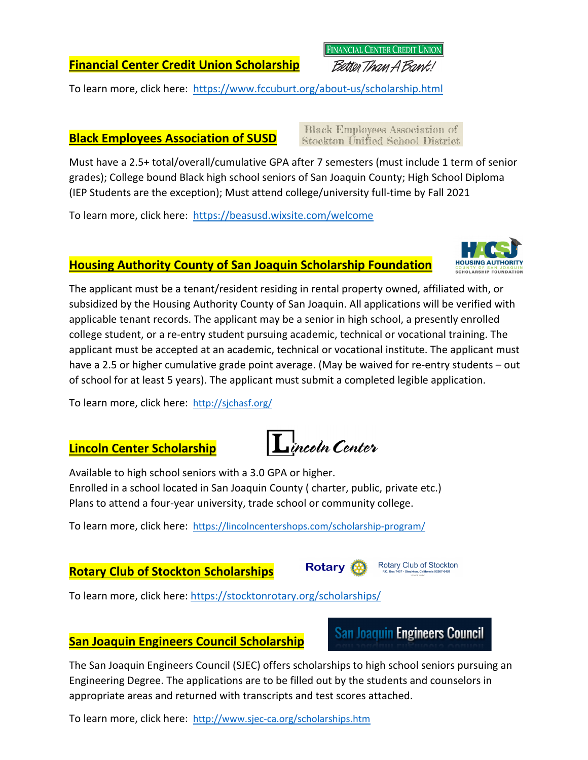**Financial Center Credit Union Scholarship**

To learn more, click here: https://www.fccuburt.org/about‐us/scholarship.html

### **Black Employees Association of SUSD**

**Black Employees Association of Stockton Unified School District** 

**FINANCIAL CENTER CREDIT UNION** Better Than A Bank!

Must have a 2.5+ total/overall/cumulative GPA after 7 semesters (must include 1 term of senior grades); College bound Black high school seniors of San Joaquin County; High School Diploma (IEP Students are the exception); Must attend college/university full‐time by Fall 2021

To learn more, click here: https://beasusd.wixsite.com/welcome

# **Housing Authority County of San Joaquin Scholarship Foundation**

The applicant must be a tenant/resident residing in rental property owned, affiliated with, or subsidized by the Housing Authority County of San Joaquin. All applications will be verified with applicable tenant records. The applicant may be a senior in high school, a presently enrolled college student, or a re‐entry student pursuing academic, technical or vocational training. The applicant must be accepted at an academic, technical or vocational institute. The applicant must have a 2.5 or higher cumulative grade point average. (May be waived for re-entry students – out of school for at least 5 years). The applicant must submit a completed legible application.

To learn more, click here: http://sjchasf.org/

# **Lincoln Center Scholarship**

Available to high school seniors with a 3.0 GPA or higher. Enrolled in a school located in San Joaquin County ( charter, public, private etc.) Plans to attend a four‐year university, trade school or community college.

To learn more, click here: https://lincolncentershops.com/scholarship‐program/

# **Rotary Club of Stockton Scholarships**

To learn more, click here: https://stocktonrotary.org/scholarships/

# **San Joaquin Engineers Council Scholarship**

The San Joaquin Engineers Council (SJEC) offers scholarships to high school seniors pursuing an Engineering Degree. The applications are to be filled out by the students and counselors in appropriate areas and returned with transcripts and test scores attached.

To learn more, click here: http://www.sjec‐ca.org/scholarships.htm









Rotary Club of Stockton

**San Joaquin Engineers Council**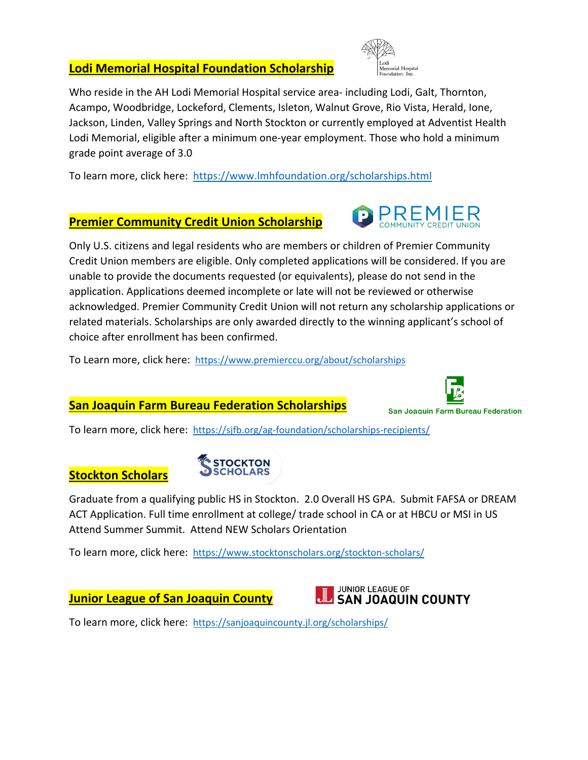# **Lodi Memorial Hospital Foundation Scholarship**



Who reside in the AH Lodi Memorial Hospital service area- including Lodi, Galt, Thornton, Acampo, Woodbridge, Lockeford, Clements, Isleton, Walnut Grove, Rio Vista, Herald, Ione, Jackson, Linden, Valley Springs and North Stockton or currently employed at Adventist Health Lodi Memorial, eligible after a minimum one‐year employment. Those who hold a minimum grade point average of 3.0

To learn more, click here: https://www.lmhfoundation.org/scholarships.html

#### **Premier Community Credit Union Scholarship**

Only U.S. citizens and legal residents who are members or children of Premier Community Credit Union members are eligible. Only completed applications will be considered. If you are unable to provide the documents requested (or equivalents), please do not send in the application. Applications deemed incomplete or late will not be reviewed or otherwise acknowledged. Premier Community Credit Union will not return any scholarship applications or related materials. Scholarships are only awarded directly to the winning applicant's school of choice after enrollment has been confirmed.

To Learn more, click here: https://www.premierccu.org/about/scholarships

#### **San Joaquin Farm Bureau Federation Scholarships**



# **Stockton Scholars**



Graduate from a qualifying public HS in Stockton. 2.0 Overall HS GPA. Submit FAFSA or DREAM ACT Application. Full time enrollment at college/ trade school in CA or at HBCU or MSI in US Attend Summer Summit. Attend NEW Scholars Orientation

To learn more, click here: https://www.stocktonscholars.org/stockton-scholars/

### **Junior League of San Joaquin County**



To learn more, click here: https://sanjoaquincounty.jl.org/scholarships/





**San Joaquin Farm Bureau Federation**